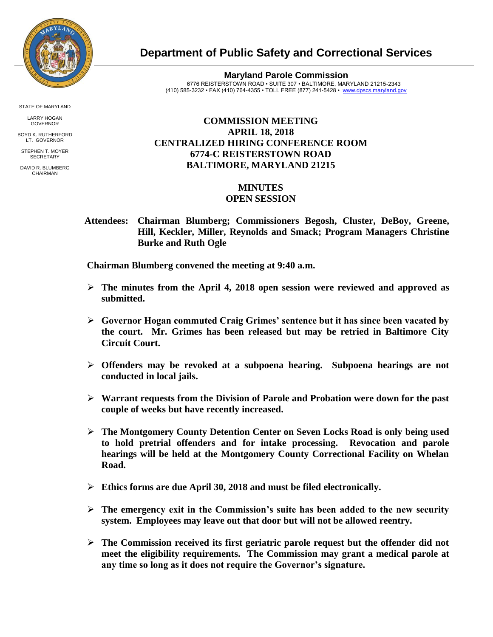

**Department of Public Safety and Correctional Services**

**Maryland Parole Commission** 6776 REISTERSTOWN ROAD • SUITE 307 • BALTIMORE, MARYLAND 21215-2343 (410) 585-3232 • FAX (410) 764-4355 • TOLL FREE (877) 241-5428 • [www.dpscs.maryland.gov](http://www.dpscs.maryland.gov/) 

## **COMMISSION MEETING APRIL 18, 2018 CENTRALIZED HIRING CONFERENCE ROOM 6774-C REISTERSTOWN ROAD BALTIMORE, MARYLAND 21215**

## **MINUTES OPEN SESSION**

 **Attendees: Chairman Blumberg; Commissioners Begosh, Cluster, DeBoy, Greene, Hill, Keckler, Miller, Reynolds and Smack; Program Managers Christine Burke and Ruth Ogle**

 **Chairman Blumberg convened the meeting at 9:40 a.m.**

- **The minutes from the April 4, 2018 open session were reviewed and approved as submitted.**
- **Governor Hogan commuted Craig Grimes' sentence but it has since been vacated by the court. Mr. Grimes has been released but may be retried in Baltimore City Circuit Court.**
- **Offenders may be revoked at a subpoena hearing. Subpoena hearings are not conducted in local jails.**
- **Warrant requests from the Division of Parole and Probation were down for the past couple of weeks but have recently increased.**
- **The Montgomery County Detention Center on Seven Locks Road is only being used to hold pretrial offenders and for intake processing. Revocation and parole hearings will be held at the Montgomery County Correctional Facility on Whelan Road.**
- **Ethics forms are due April 30, 2018 and must be filed electronically.**
- $\triangleright$  The emergency exit in the Commission's suite has been added to the new security **system. Employees may leave out that door but will not be allowed reentry.**
- **The Commission received its first geriatric parole request but the offender did not meet the eligibility requirements. The Commission may grant a medical parole at any time so long as it does not require the Governor's signature.**

STATE OF MARYLAND

LARRY HOGAN GOVERNOR BOYD K. RUTHERFORD

LT. GOVERNOR STEPHEN T. MOYER **SECRETARY** 

DAVID R. BLUMBERG **CHAIRMAN**